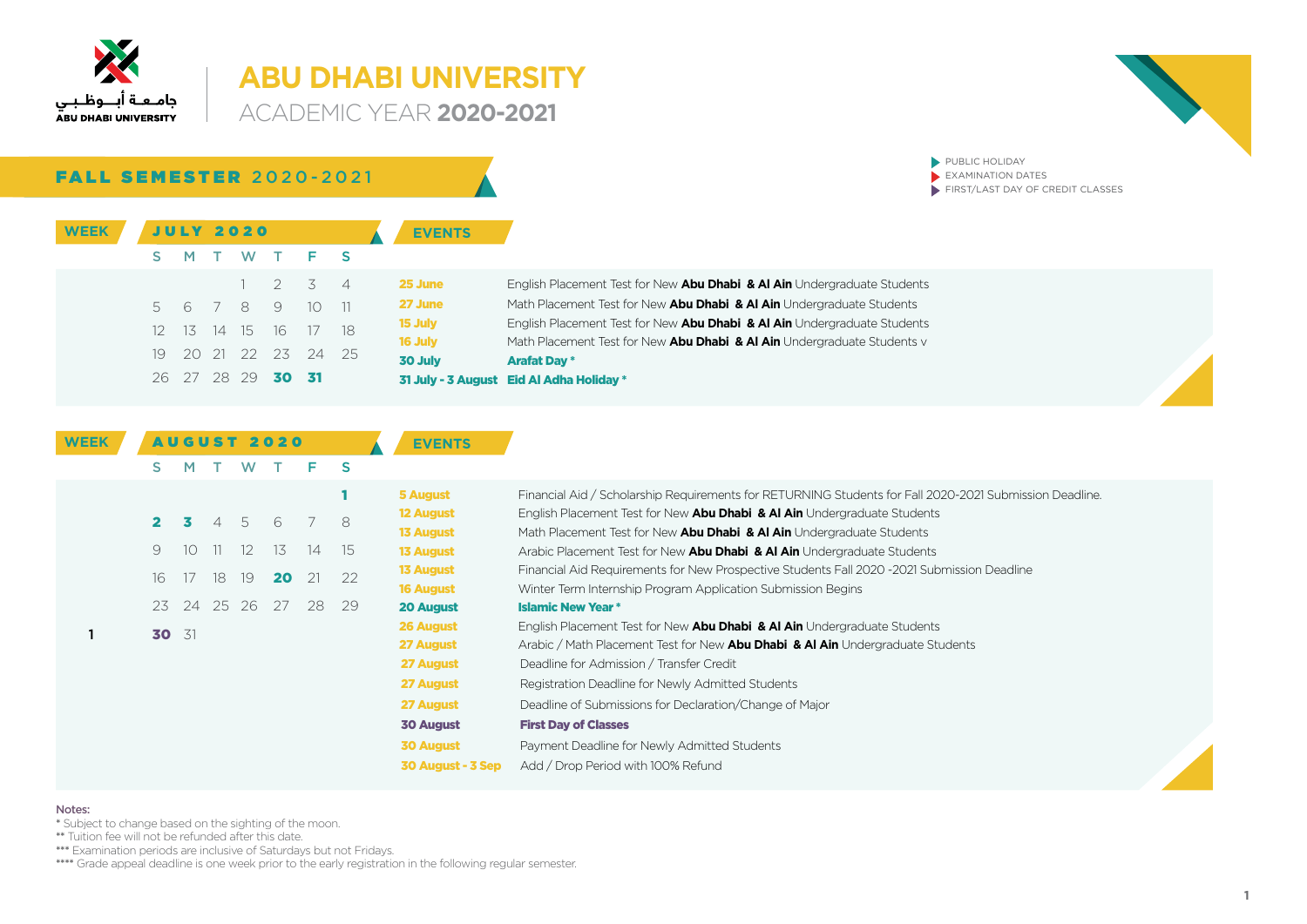

### **ABU DHABI UNIVERSITY ACADEMIC YEAR 2020-2021**

FALL SEMESTER 2020-2021

| <b>WEEK</b> |     |     |     | <b>JULY 2020</b> |    |                             |       | <b>EVENTS</b>  |                                                                          |
|-------------|-----|-----|-----|------------------|----|-----------------------------|-------|----------------|--------------------------------------------------------------------------|
|             |     | M   |     |                  |    | W T F S                     |       |                |                                                                          |
|             |     |     |     |                  |    | $1 \quad 2 \quad 3 \quad 4$ |       | 25 June        | English Placement Test for New Abu Dhabi & Al Ain Undergraduate Students |
|             | 5   |     |     | 6789             |    | 10 <sup>1</sup>             | $-11$ | <b>27 June</b> | Math Placement Test for New Abu Dhabi & Al Ain Undergraduate Students    |
|             |     | 1.5 |     | 14 15            | 16 | 17                          | - 18  | 15 July        | English Placement Test for New Abu Dhabi & Al Ain Undergraduate Students |
|             |     |     |     |                  |    |                             |       | 16 July        | Math Placement Test for New Abu Dhabi & Al Ain Undergraduate Students v  |
|             | 19. | -20 | 21  | 22               | 23 | -24                         | - 25  | 30 July        | <b>Arafat Day *</b>                                                      |
|             | 26. |     | 28. | - 29             |    | - 31                        |       |                | 31 July - 3 August Eid Al Adha Holiday *                                 |

| <b>WEEK</b> |                |    |              |                | <b>AUGUST 2020</b> |    |    | <b>EVENTS</b>     |                                                                                                         |
|-------------|----------------|----|--------------|----------------|--------------------|----|----|-------------------|---------------------------------------------------------------------------------------------------------|
|             | S.             | M  |              | W              |                    | F. | S  |                   |                                                                                                         |
|             |                |    |              |                |                    |    |    | <b>5 August</b>   | Financial Aid / Scholarship Requirements for RETURNING Students for Fall 2020-2021 Submission Deadline. |
|             | $\mathbf{2}^-$ |    | $\Delta$     | 5 <sup>5</sup> | 6                  |    | 8  | <b>12 August</b>  | English Placement Test for New Abu Dhabi & Al Ain Undergraduate Students                                |
|             |                |    |              |                |                    |    |    | <b>13 August</b>  | Math Placement Test for New Abu Dhabi & Al Ain Undergraduate Students                                   |
|             | 9              | 10 | $\mathbf{H}$ | 12             | 13                 | 14 | 15 | <b>13 August</b>  | Arabic Placement Test for New Abu Dhabi & Al Ain Undergraduate Students                                 |
|             | 16             | 17 | 18           | 19             | 20                 | 21 | 22 | <b>13 August</b>  | Financial Aid Requirements for New Prospective Students Fall 2020 -2021 Submission Deadline             |
|             |                |    |              |                |                    |    |    | <b>16 August</b>  | Winter Term Internship Program Application Submission Begins                                            |
|             | 23             | 24 | 25           | -26            | 27                 | 28 | 29 | <b>20 August</b>  | <b>Islamic New Year *</b>                                                                               |
|             |                |    |              |                |                    |    |    | 26 August         | English Placement Test for New Abu Dhabi & Al Ain Undergraduate Students                                |
|             | 30 31          |    |              |                |                    |    |    | 27 August         | Arabic / Math Placement Test for New Abu Dhabi & Al Ain Undergraduate Students                          |
|             |                |    |              |                |                    |    |    | 27 August         | Deadline for Admission / Transfer Credit                                                                |
|             |                |    |              |                |                    |    |    | 27 August         | Registration Deadline for Newly Admitted Students                                                       |
|             |                |    |              |                |                    |    |    | 27 August         | Deadline of Submissions for Declaration/Change of Major                                                 |
|             |                |    |              |                |                    |    |    | <b>30 August</b>  | <b>First Day of Classes</b>                                                                             |
|             |                |    |              |                |                    |    |    | <b>30 August</b>  | Payment Deadline for Newly Admitted Students                                                            |
|             |                |    |              |                |                    |    |    | 30 August - 3 Sep | Add / Drop Period with 100% Refund                                                                      |

#### Notes:

\* Subject to change based on the sighting of the moon.

\*\* Tuition fee will not be refunded after this date.

\*\*\*\* Examination periods are inclusive of Saturdays but not Fridays.

\*\*\*\*\* Grade appeal deadline is one week prior to the early registration in the following regular semester.



 $\blacktriangleright$  PUBLIC HOLIDAY  $\overline{\phantom{a}}$  EXAMINATION DATES

 $\blacktriangleright$  FIRST/LAST DAY OF CREDIT CLASSES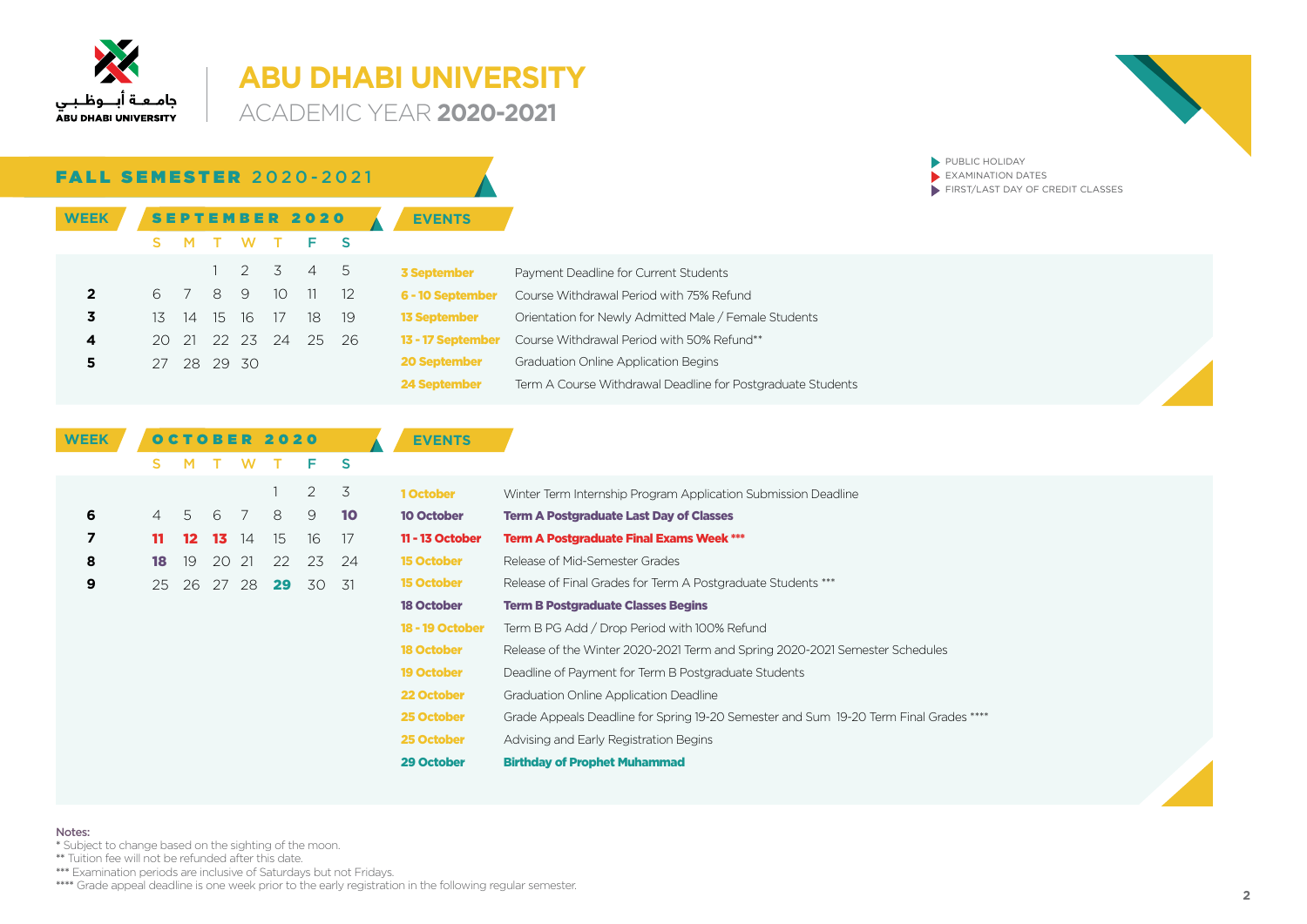

**ACADEMIC YEAR 2020-2021** 



**DUBLIC HOLIDAY** 

| <b>FALL SEMESTER 2020-2021</b> |             |   |                |                 |                       |       |                     | EXAMINATION DATES<br>FIRST/LAST DAY OF CREDIT CLASSES               |
|--------------------------------|-------------|---|----------------|-----------------|-----------------------|-------|---------------------|---------------------------------------------------------------------|
| <b>WEEK</b>                    |             |   |                |                 | <b>SEPTEMBER 2020</b> |       | <b>EVENTS</b>       |                                                                     |
|                                | м           |   | W.             |                 | F S                   |       |                     |                                                                     |
|                                |             |   | 2 3            |                 | 45                    |       | <b>3 September</b>  | Payment Deadline for Current Students                               |
| $\overline{2}$                 | 6 7         | 8 | - 9            | 10 <sup>°</sup> | $11 \t 12$            |       | 6 - 10 September    | Course Withdrawal Period with 75% Refund                            |
| 3                              | 13 14 15 16 |   |                | 17              | 18 -                  | - 19  | <b>13 September</b> | Orientation for Newly Admitted Male / Female Students               |
| 4                              |             |   | 20 21 22 23 24 |                 |                       | 25 26 |                     | <b>13 - 17 September</b> Course Withdrawal Period with 50% Refund** |
| 5                              | 27 28 29 30 |   |                |                 |                       |       | <b>20 September</b> | <b>Graduation Online Application Begins</b>                         |
|                                |             |   |                |                 |                       |       | 24 September        | Term A Course Withdrawal Deadline for Postgraduate Students         |

| <b>WEEK</b> |    |                 |     |       | OCTOBER 2020 |    |      | <b>EVENTS</b>          |                                                                                       |
|-------------|----|-----------------|-----|-------|--------------|----|------|------------------------|---------------------------------------------------------------------------------------|
|             | S. |                 |     | W     |              | F. | -S   |                        |                                                                                       |
|             |    |                 |     |       |              | 2  | 3    | 1 October              | Winter Term Internship Program Application Submission Deadline                        |
| 6           | 4  | -5              | 6   |       | 8            | 9  | 10   | <b>10 October</b>      | <b>Term A Postgraduate Last Day of Classes</b>                                        |
| 7           | 11 | 12 <sup>°</sup> | -13 | 14    | 15           | 16 | -17  | 11 - 13 October        | <b>Term A Postgraduate Final Exams Week ***</b>                                       |
| 8           | 18 | 19              | 20  | 21    | 22           | 23 | 24   | <b>15 October</b>      | Release of Mid-Semester Grades                                                        |
| 9           | 25 | 26              |     | 27 28 | 29           | 30 | - 31 | <b>15 October</b>      | Release of Final Grades for Term A Postgraduate Students ***                          |
|             |    |                 |     |       |              |    |      | <b>18 October</b>      | <b>Term B Postgraduate Classes Begins</b>                                             |
|             |    |                 |     |       |              |    |      | <b>18 - 19 October</b> | Term B PG Add / Drop Period with 100% Refund                                          |
|             |    |                 |     |       |              |    |      | <b>18 October</b>      | Release of the Winter 2020-2021 Term and Spring 2020-2021 Semester Schedules          |
|             |    |                 |     |       |              |    |      | <b>19 October</b>      | Deadline of Payment for Term B Postgraduate Students                                  |
|             |    |                 |     |       |              |    |      | 22 October             | Graduation Online Application Deadline                                                |
|             |    |                 |     |       |              |    |      | 25 October             | Grade Appeals Deadline for Spring 19-20 Semester and Sum 19-20 Term Final Grades **** |
|             |    |                 |     |       |              |    |      | 25 October             | Advising and Early Registration Begins                                                |
|             |    |                 |     |       |              |    |      | 29 October             | <b>Birthday of Prophet Muhammad</b>                                                   |

### Notes:

\* Subject to change based on the sighting of the moon.

\*\* Tuition fee will not be refunded after this date.

\*\*\* Examination periods are inclusive of Saturdays but not Fridays.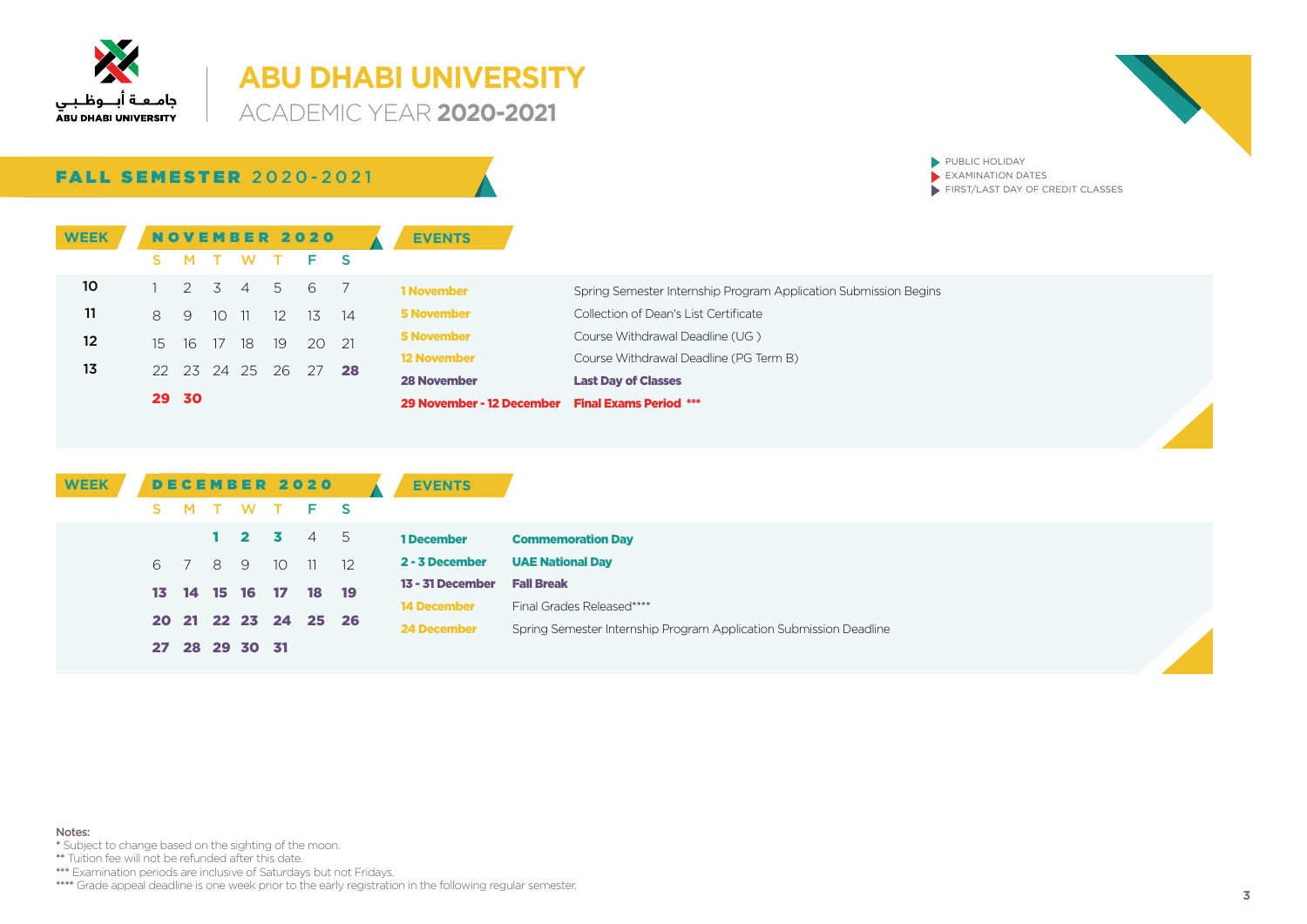

**ACADEMIC YEAR 2020-2021** 



 $\blacktriangleright$  PUBLIC HOLIDAY  $\overline{\phantom{a}}$  EXAMINATION DATES

 $\blacktriangleright$  FIRST/LAST DAY OF CREDIT CLASSES

FALL SEMESTER 2020-2021

| <b>WEEK</b> |             |             |       |                   | <b>NOVEMBER 2020</b> |      | <b>EVENTS</b>                                    |                                                                  |  |
|-------------|-------------|-------------|-------|-------------------|----------------------|------|--------------------------------------------------|------------------------------------------------------------------|--|
|             |             |             |       | M T W T           | $F-S$                |      |                                                  |                                                                  |  |
| 10          |             | 2 3 4       |       | 5                 | 6 7                  |      | <b>1 November</b>                                | Spring Semester Internship Program Application Submission Begins |  |
| 11          | $8^{\circ}$ | - 9         | 10 11 | $12 \overline{ }$ | 13                   | - 14 | <b>5 November</b>                                | Collection of Dean's List Certificate                            |  |
| 12          |             | 15 16 17 18 |       | -19               | 20 21                |      | <b>5 November</b>                                | Course Withdrawal Deadline (UG)                                  |  |
| 13          |             |             |       |                   | 22 23 24 25 26 27 28 |      | <b>12 November</b>                               | Course Withdrawal Deadline (PG Term B)                           |  |
|             |             |             |       |                   |                      |      | <b>28 November</b>                               | <b>Last Day of Classes</b>                                       |  |
|             |             | 29 30       |       |                   |                      |      | 29 November - 12 December Final Exams Period *** |                                                                  |  |

| <b>WEEK</b> |    |         |                |         | <b>DECEMBER 2020</b> | <b>EVENTS</b>      |                                                                    |
|-------------|----|---------|----------------|---------|----------------------|--------------------|--------------------------------------------------------------------|
|             | S. |         |                | M T W T | F S                  |                    |                                                                    |
|             |    |         |                |         | $1$ 2 3 4 5          | 1 December         | <b>Commemoration Day</b>                                           |
|             |    | 6 7 8 9 |                |         | 10 11 12             | 2 - 3 December     | <b>UAE National Day</b>                                            |
|             |    |         | 13 14 15 16 17 |         | 18 19                | 13 - 31 December   | <b>Fall Break</b>                                                  |
|             |    |         |                |         |                      | <b>14 December</b> | Final Grades Released****                                          |
|             |    |         |                |         | 20 21 22 23 24 25 26 | 24 December        | Spring Semester Internship Program Application Submission Deadline |
|             |    |         | 27 28 29 30 31 |         |                      |                    |                                                                    |

#### Notes:

\* Subject to change based on the sighting of the moon.

\*\* Tuition fee will not be refunded after this date.

\*\*\* Examination periods are inclusive of Saturdays but not Fridays.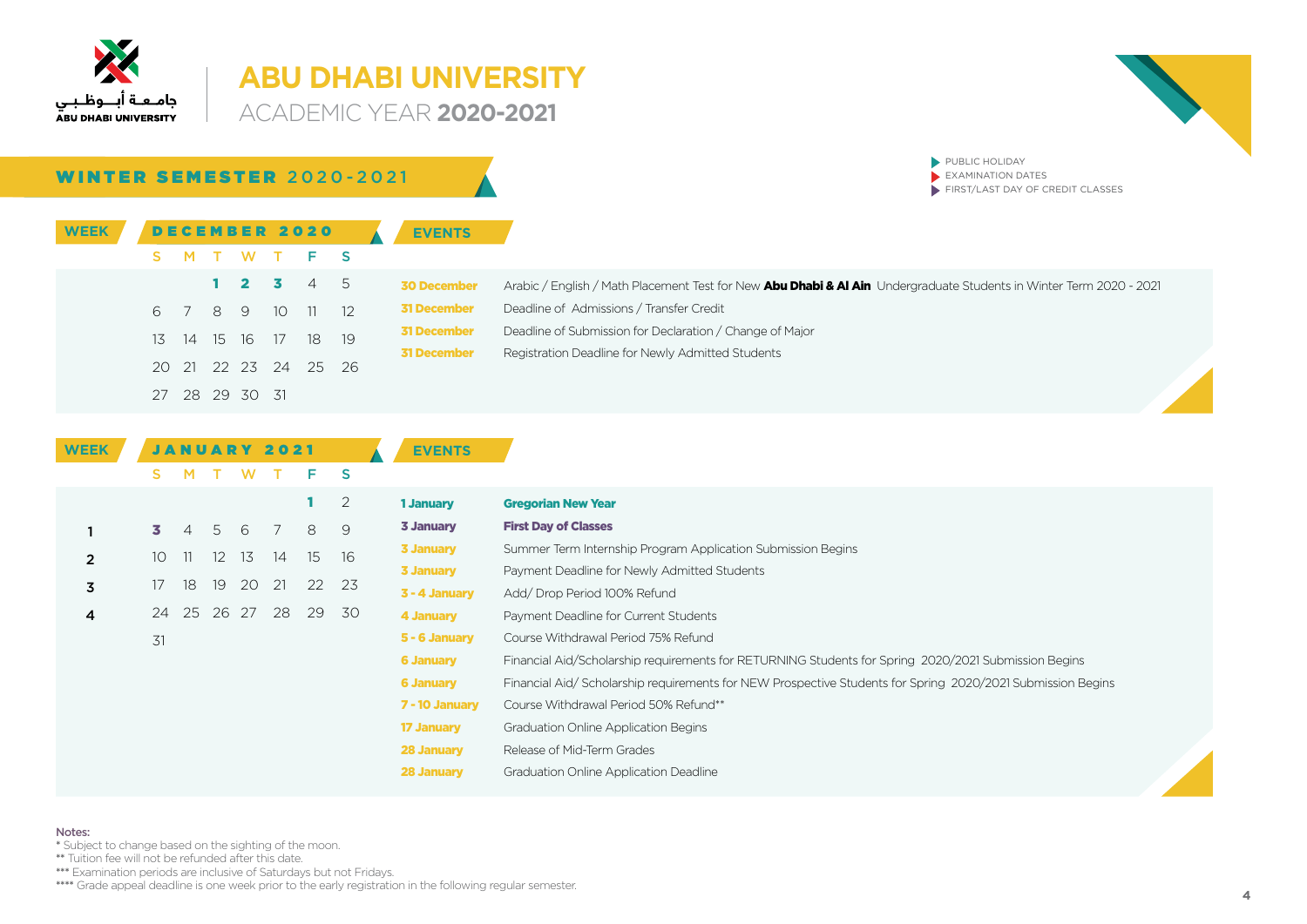

### **ABU DHABI UNIVERSITY ACADEMIC YEAR 2020-2021**



 $\blacktriangleright$  PUBLIC HOLIDAY  $\overline{\phantom{a}}$  EXAMINATION DATES

 $\blacktriangleright$  FIRST/LAST DAY OF CREDIT CLASSES

### WINTER SEMESTER 2020-2021

| <b>WEEK</b> |     |    |                |      | <b>DECEMBER 2020</b> | <b>EVENTS</b>      |                                                                                                                     |
|-------------|-----|----|----------------|------|----------------------|--------------------|---------------------------------------------------------------------------------------------------------------------|
|             |     |    |                |      | M T W T F S          |                    |                                                                                                                     |
|             |     |    |                |      | 1 2 3 4 5            | <b>30 December</b> | Arabic / English / Math Placement Test for New Abu Dhabi & Al Ain Undergraduate Students in Winter Term 2020 - 2021 |
|             | 6 7 | 89 |                | - 10 | $11 \t 12$           | <b>31 December</b> | Deadline of Admissions / Transfer Credit                                                                            |
|             |     |    |                |      | 13 14 15 16 17 18 19 | <b>31 December</b> | Deadline of Submission for Declaration / Change of Major                                                            |
|             |     |    |                |      |                      | <b>31 December</b> | Registration Deadline for Newly Admitted Students                                                                   |
|             |     |    |                |      | 20 21 22 23 24 25 26 |                    |                                                                                                                     |
|             |     |    | 27 28 29 30 31 |      |                      |                    |                                                                                                                     |

| <b>WEEK</b>    |                 |                |    |     | <b>JANUARY 2021</b> |    |          | <b>EVENTS</b>     |                                                                                                            |
|----------------|-----------------|----------------|----|-----|---------------------|----|----------|-------------------|------------------------------------------------------------------------------------------------------------|
|                | S.              | м              |    | W   |                     | F  | <b>S</b> |                   |                                                                                                            |
|                |                 |                |    |     |                     | 1  | 2        | 1 January         | <b>Gregorian New Year</b>                                                                                  |
|                | 3.              | $\overline{4}$ | 5  | -6  | 7                   | 8  | 9        | <b>3 January</b>  | <b>First Day of Classes</b>                                                                                |
| $\overline{2}$ | 10 <sup>°</sup> | 11             | 12 | 13  | 14                  | 15 | 16       | <b>3 January</b>  | Summer Term Internship Program Application Submission Begins                                               |
|                |                 |                |    |     |                     |    |          | 3 January         | Payment Deadline for Newly Admitted Students                                                               |
| 3              | 17              | 18             | 19 | 20  | 21                  | 22 | -23      | 3 - 4 January     | Add/Drop Period 100% Refund                                                                                |
| 4              | 24              | 25             | 26 | -27 | 28                  | 29 | 30       | 4 January         | Payment Deadline for Current Students                                                                      |
|                | 31              |                |    |     |                     |    |          | 5 - 6 January     | Course Withdrawal Period 75% Refund                                                                        |
|                |                 |                |    |     |                     |    |          | <b>6 January</b>  | Financial Aid/Scholarship requirements for RETURNING Students for Spring 2020/2021 Submission Begins       |
|                |                 |                |    |     |                     |    |          | <b>6 January</b>  | Financial Aid/Scholarship requirements for NEW Prospective Students for Spring 2020/2021 Submission Begins |
|                |                 |                |    |     |                     |    |          | 7 - 10 January    | Course Withdrawal Period 50% Refund**                                                                      |
|                |                 |                |    |     |                     |    |          | <b>17 January</b> | <b>Graduation Online Application Begins</b>                                                                |
|                |                 |                |    |     |                     |    |          | <b>28 January</b> | Release of Mid-Term Grades                                                                                 |
|                |                 |                |    |     |                     |    |          | 28 January        | Graduation Online Application Deadline                                                                     |

### Notes:

\* Subject to change based on the sighting of the moon.

\*\* Tuition fee will not be refunded after this date.

\*\*\* Examination periods are inclusive of Saturdays but not Fridays.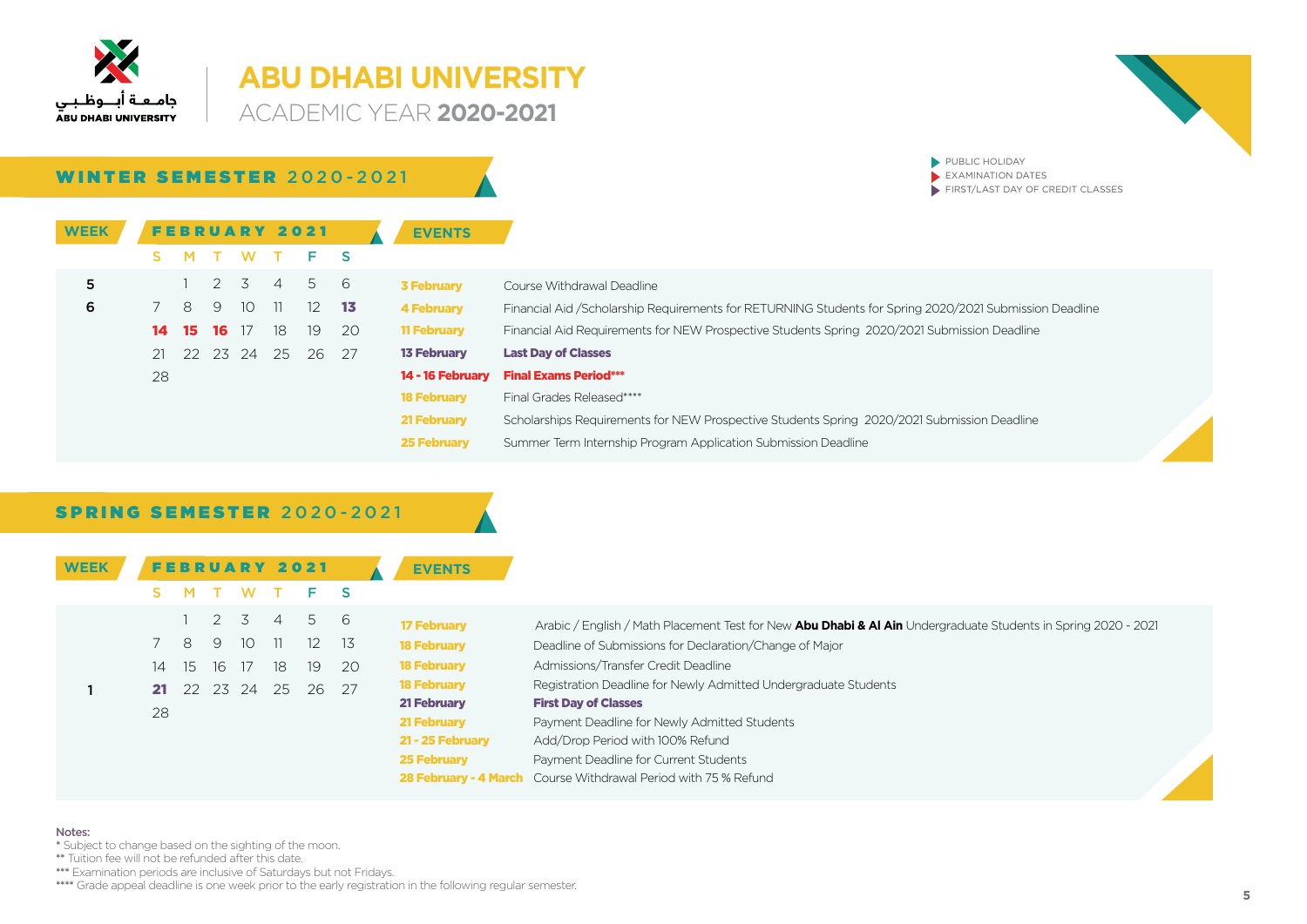

### **ABU DHABI UNIVERSITY ACADEMIC YEAR 2020-2021**

WINTER SEMESTER 2020-2021

 $\blacktriangleright$  PUBLIC HOLIDAY  $\blacktriangleright$  EXAMINATION DATES

 $\blacktriangleright$  FIRST/LAST DAY OF CREDIT CLASSES

| <b>WEEK</b> |    |      |               |       | <b>FEBRUARY 2021</b> |     |              | <b>EVENTS</b>      |                                                                                                          |
|-------------|----|------|---------------|-------|----------------------|-----|--------------|--------------------|----------------------------------------------------------------------------------------------------------|
|             |    |      |               | W     |                      | Е.  | <sub>S</sub> |                    |                                                                                                          |
| 5           |    |      | $\mathcal{P}$ | 3     | $\overline{4}$       | 5   | - 6          | <b>3 February</b>  | Course Withdrawal Deadline                                                                               |
| 6           |    | 8    | 9             | - 10  | -11-                 | 12  | -13          | <b>4 February</b>  | Financial Aid / Scholarship Requirements for RETURNING Students for Spring 2020/2021 Submission Deadline |
|             | 14 | 15   | 16            | 17    | 18                   | 19  | -20          | <b>11 February</b> | Financial Aid Requirements for NEW Prospective Students Spring 2020/2021 Submission Deadline             |
|             | 21 | $22$ |               | 23 24 | - 25                 | -26 | 27           | <b>13 February</b> | <b>Last Day of Classes</b>                                                                               |
|             | 28 |      |               |       |                      |     |              | 14 - 16 February   | <b>Final Exams Period***</b>                                                                             |
|             |    |      |               |       |                      |     |              | <b>18 February</b> | Final Grades Released****                                                                                |
|             |    |      |               |       |                      |     |              | 21 February        | Scholarships Requirements for NEW Prospective Students Spring 2020/2021 Submission Deadline              |
|             |    |      |               |       |                      |     |              | <b>25 February</b> | Summer Term Internship Program Application Submission Deadline                                           |

### **SPRING SEMESTER 2020-2021**

| <b>WEEK</b> |    |    |          |       |                | <b>FEBRUARY 2021</b> |      | <b>EVENTS</b>      |                                                                                                                |
|-------------|----|----|----------|-------|----------------|----------------------|------|--------------------|----------------------------------------------------------------------------------------------------------------|
|             |    |    |          | W.    |                |                      |      |                    |                                                                                                                |
|             |    |    | 2 3      |       | $\overline{4}$ | 56                   |      | <b>17 February</b> | Arabic / English / Math Placement Test for New Abu Dhabi & Al Ain Undergraduate Students in Spring 2020 - 2021 |
|             |    | 8  | - 9      | 10 11 |                | 12 <sup>2</sup>      | -13  | <b>18 February</b> | Deadline of Submissions for Declaration/Change of Major                                                        |
|             | 14 | 15 | 16 17    |       | 18             | 19                   | -20  | <b>18 February</b> | Admissions/Transfer Credit Deadline                                                                            |
|             | 21 |    | 22 23 24 |       | -25            | -26                  | - 27 | <b>18 February</b> | Registration Deadline for Newly Admitted Undergraduate Students                                                |
|             | 28 |    |          |       |                |                      |      | 21 February        | <b>First Day of Classes</b>                                                                                    |
|             |    |    |          |       |                |                      |      | 21 February        | Payment Deadline for Newly Admitted Students                                                                   |
|             |    |    |          |       |                |                      |      | 21 - 25 February   | Add/Drop Period with 100% Refund                                                                               |
|             |    |    |          |       |                |                      |      | <b>25 February</b> | Payment Deadline for Current Students                                                                          |
|             |    |    |          |       |                |                      |      |                    | <b>28 February - 4 March</b> Course Withdrawal Period with 75 % Refund                                         |

### Notes:

\* Subject to change based on the sighting of the moon.

\*\* Tuition fee will not be refunded after this date.

\*\*\* Examination periods are inclusive of Saturdays but not Fridays.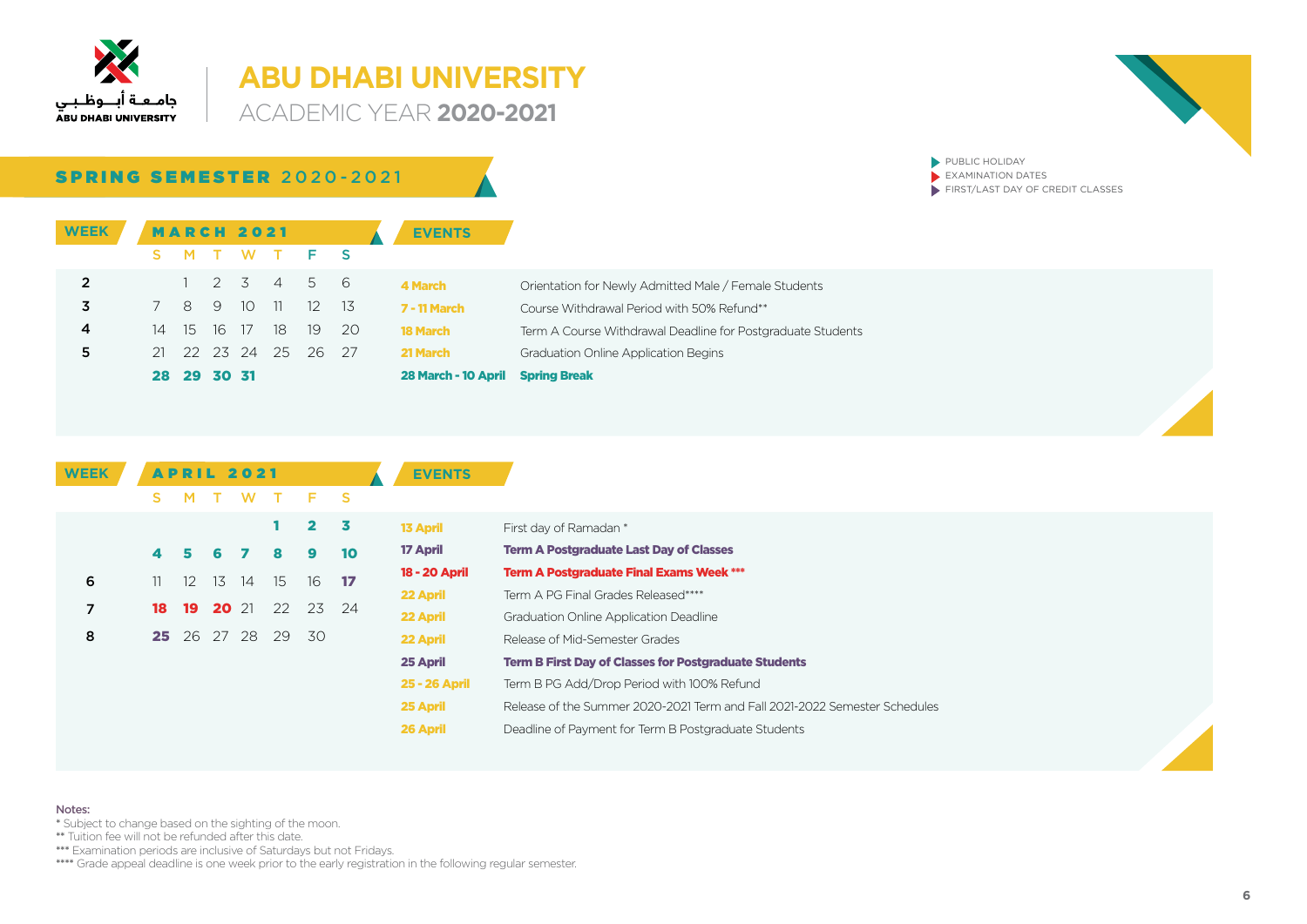

**ACADEMIC YEAR 2020-2021** 

 $\blacktriangleright$  PUBLIC HOLIDAY  $\blacktriangleright$  EXAMINATION DATES

 $\blacktriangleright$  FIRST/LAST DAY OF CREDIT CLASSES

### SPRING SEMESTER 2020-2021

| <b>WEEK</b>    |     |                |       | <b>MARCH 2021</b> |                |       |      | <b>EVENTS</b>       |                                                             |
|----------------|-----|----------------|-------|-------------------|----------------|-------|------|---------------------|-------------------------------------------------------------|
|                |     | M.             |       |                   |                | TWTFS |      |                     |                                                             |
| $\overline{2}$ |     | $\sim$ 1       | 2 3   |                   | $\overline{4}$ | 56    |      | 4 March             | Orientation for Newly Admitted Male / Female Students       |
| 3              | 7   | 8 <sup>2</sup> | -9    | - 10              | $-11$          | - 12  | - 13 | <b>7 - 11 March</b> | Course Withdrawal Period with 50% Refund**                  |
| 4              | 14  | - 15           | 16    | 17                | 18             | 19    | -20  | <b>18 March</b>     | Term A Course Withdrawal Deadline for Postgraduate Students |
| 5              |     |                |       |                   | 21 22 23 24 25 | -26-  | 27   | 21 March            | <b>Graduation Online Application Begins</b>                 |
|                | 28. | -29            | 30 31 |                   |                |       |      | 28 March - 10 April | <b>Spring Break</b>                                         |

| <b>WEEK</b> |     |     |              | <b>APRIL 2021</b> |     |             |    | <b>EVENTS</b>   |                                                                            |
|-------------|-----|-----|--------------|-------------------|-----|-------------|----|-----------------|----------------------------------------------------------------------------|
|             | S.  | м   |              | W                 |     | Е.          | -S |                 |                                                                            |
|             |     |     |              |                   |     | $2 \quad 3$ |    | <b>13 April</b> | First day of Ramadan *                                                     |
|             | 4   | 5   | 6            |                   | 8   | 9           | 10 | 17 April        | <b>Term A Postgraduate Last Day of Classes</b>                             |
| 6           | 11. | 12. | 13           | 14                | -15 | 16          | 17 | 18 - 20 April   | <b>Term A Postgraduate Final Exams Week ***</b>                            |
|             |     |     |              |                   |     |             |    | 22 April        | Term A PG Final Grades Released****                                        |
| 7           | 18  | 19  | <b>20</b> 21 |                   | 22  | 23 24       |    | 22 April        | <b>Graduation Online Application Deadline</b>                              |
| 8           |     |     |              | 25 26 27 28       | 29  | - 30        |    | 22 April        | Release of Mid-Semester Grades                                             |
|             |     |     |              |                   |     |             |    | 25 April        | <b>Term B First Day of Classes for Postgraduate Students</b>               |
|             |     |     |              |                   |     |             |    | 25 - 26 April   | Term B PG Add/Drop Period with 100% Refund                                 |
|             |     |     |              |                   |     |             |    | 25 April        | Release of the Summer 2020-2021 Term and Fall 2021-2022 Semester Schedules |
|             |     |     |              |                   |     |             |    | 26 April        | Deadline of Payment for Term B Postgraduate Students                       |

#### Notes:

- \* Subject to change based on the sighting of the moon.
- \*\* Tuition fee will not be refunded after this date.

\*\*\*\* Examination periods are inclusive of Saturdays but not Fridays.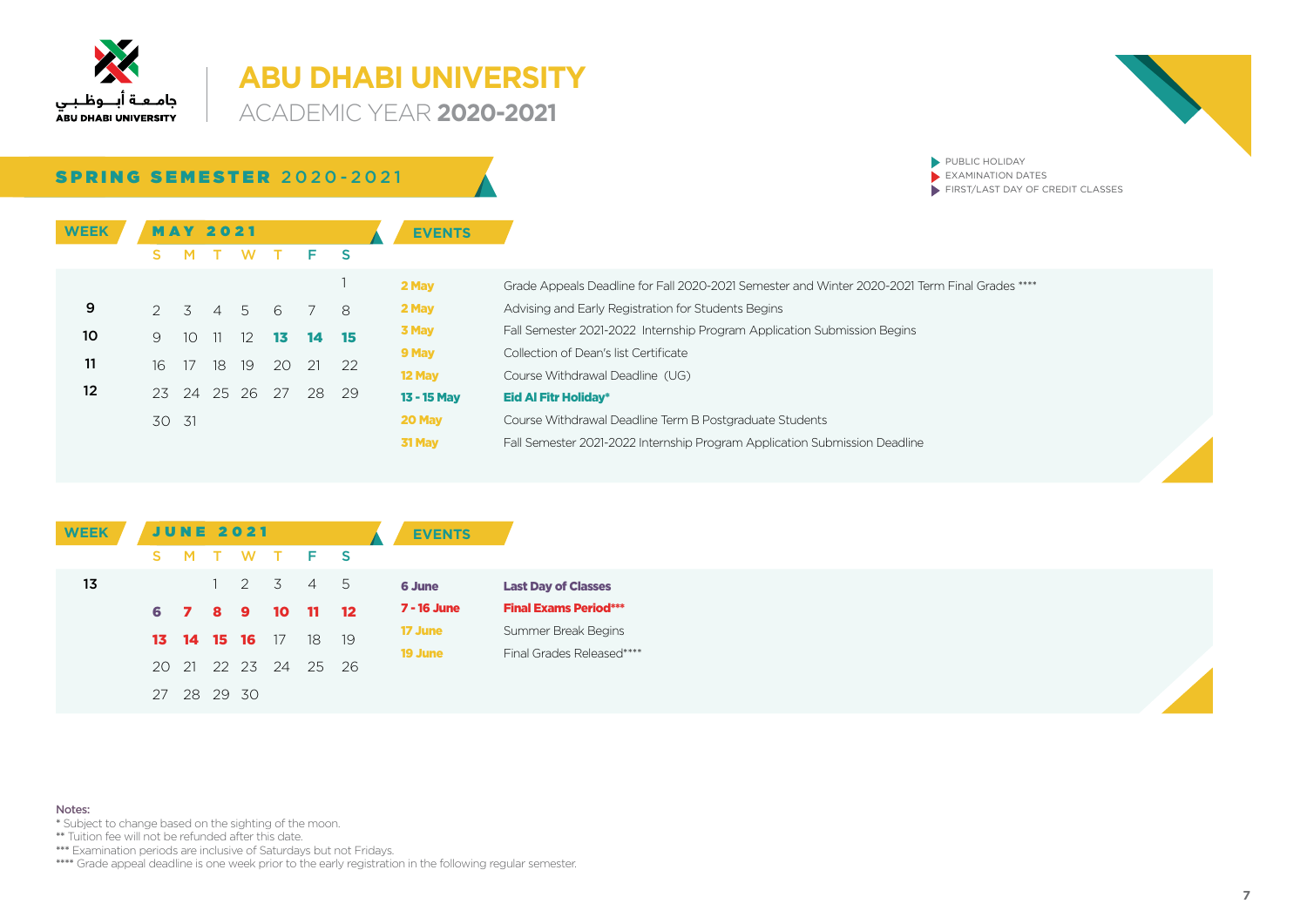

**ACADEMIC YEAR 2020-2021** 



### SPRING SEMESTER 2020-2021

| <b>WEEK</b> | s             | <b>MAY 2021</b><br>M | T W |                         | T F S                |    |          | <b>EVENTS</b>         |
|-------------|---------------|----------------------|-----|-------------------------|----------------------|----|----------|-----------------------|
|             |               |                      |     |                         |                      |    | 1        | 2 May                 |
| 9           | $\mathcal{P}$ |                      |     |                         | 3 4 5 6 7            |    | 8        | 2 May<br>3 May        |
| 10<br>11    | 9<br>16       | 10<br>17             |     | $11 \t12 \t13$<br>18 19 | 20 21                | 14 | 15<br>22 | 9 May                 |
| 12          |               |                      |     |                         | 23 24 25 26 27 28 29 |    |          | 12 May<br>13 - 15 May |
|             | 30 31         |                      |     |                         |                      |    |          | 20 May                |

| 2 May       | Grade Appeals Deadline for Fall 2020-2021 Semester and Winter 2020-2021 Term Final Grades **** |
|-------------|------------------------------------------------------------------------------------------------|
| 2 May       | Advising and Early Registration for Students Begins                                            |
| 3 May       | Fall Semester 2021-2022 Internship Program Application Submission Begins                       |
| 9 May       | Collection of Dean's list Certificate                                                          |
| 12 May      | Course Withdrawal Deadline (UG)                                                                |
| 13 - 15 Mav | <b>Eid Al Fitr Holiday*</b>                                                                    |
| 20 May      | Course Withdrawal Deadline Term B Postgraduate Students                                        |
| 31 May      | Fall Semester 2021-2022 Internship Program Application Submission Deadline                     |
|             |                                                                                                |

 $\blacktriangleright$  PUBLIC HOLIDAY  $\blacktriangleright$  EXAMINATION DATES

 $\blacktriangleright$  FIRST/LAST DAY OF CREDIT CLASSES

| <b>WEEK</b> |    |          |              | <b>JUNE 2021</b> |                      |                |                   | <b>EVENTS</b>      |                              |
|-------------|----|----------|--------------|------------------|----------------------|----------------|-------------------|--------------------|------------------------------|
|             | S. |          |              |                  | MTWTFS               |                |                   |                    |                              |
| 13          |    |          | $\mathbf{1}$ | 2 3              |                      | 4 5            |                   | 6 June             | <b>Last Day of Classes</b>   |
|             |    | 6 7 8 9  |              |                  | - 10                 | $\blacksquare$ | $\blacksquare$ 12 | <b>7 - 16 June</b> | <b>Final Exams Period***</b> |
|             |    |          |              | 13 14 15 16 17   |                      | 18             | - 19              | 17 June            | Summer Break Begins          |
|             |    |          |              |                  |                      |                |                   | 19 June            | Final Grades Released****    |
|             |    |          |              |                  | 20 21 22 23 24 25 26 |                |                   |                    |                              |
|             | 27 | 28 29 30 |              |                  |                      |                |                   |                    |                              |

#### Notes:

- \* Subject to change based on the sighting of the moon.
- \*\* Tuition fee will not be refunded after this date.

\*\*\*\* Examination periods are inclusive of Saturdays but not Fridays.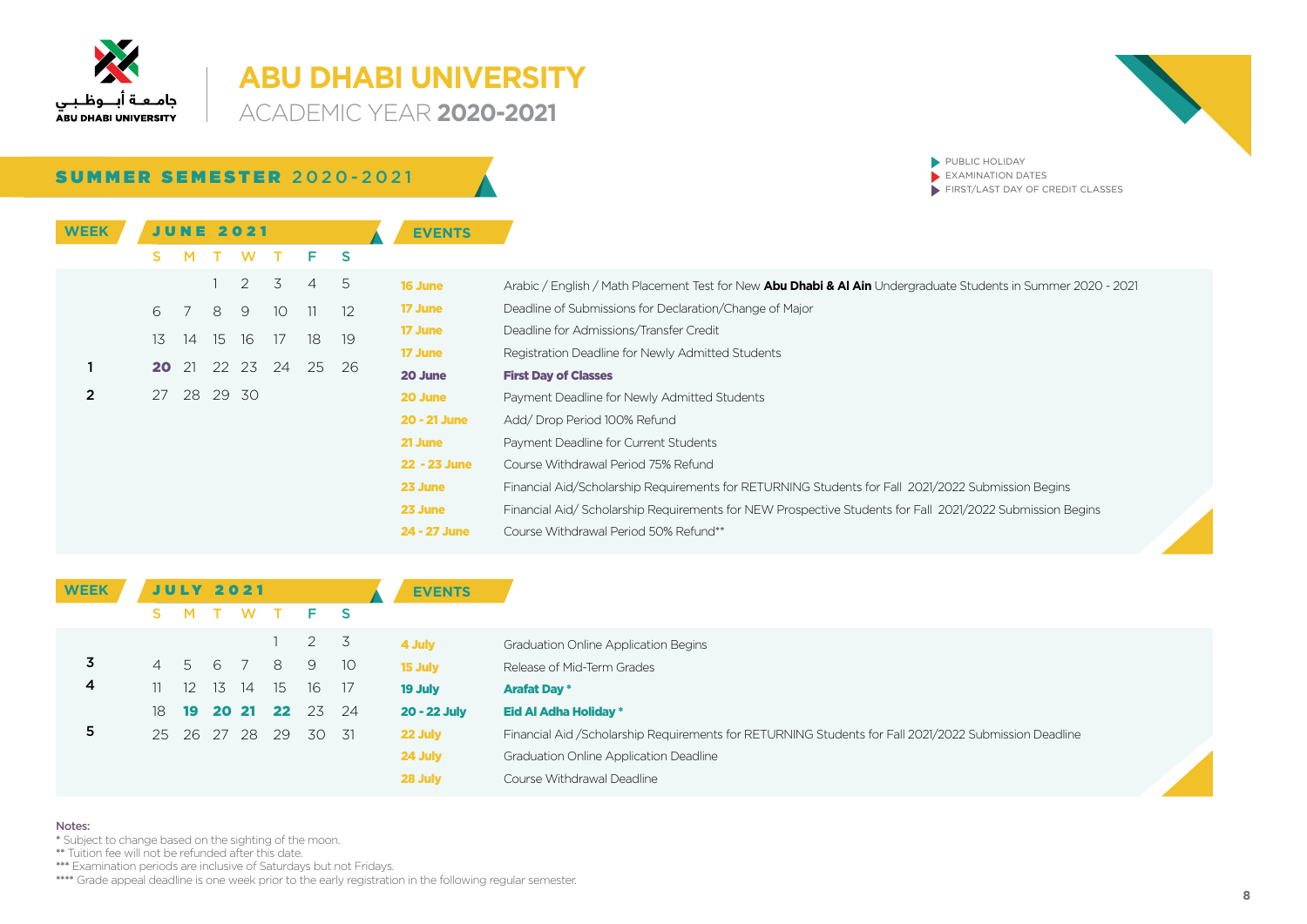

### **ABU DHABI UNIVERSITY ACADEMIC YEAR 2020-2021**

**SUMMER SEMESTER 2020-2021** 

 $\blacktriangleright$  PUBLIC HOLIDAY  $\blacktriangleright$  EXAMINATION DATES  $\blacktriangleright$  FIRST/LAST DAY OF CREDIT CLASSES

| JUNE 2021 |          |    |                 |                            |                |                   | <b>EVENTS</b>       |                                                                                                                |
|-----------|----------|----|-----------------|----------------------------|----------------|-------------------|---------------------|----------------------------------------------------------------------------------------------------------------|
| s.        |          |    | W               |                            | F.             | <b>S</b>          |                     |                                                                                                                |
|           |          |    | 2               | 3                          | $\overline{4}$ | -5                | <b>16 June</b>      | Arabic / English / Math Placement Test for New Abu Dhabi & Al Ain Undergraduate Students in Summer 2020 - 2021 |
| 6         |          | 8  | 9               | 10                         | 11             | $12 \overline{ }$ | <b>17 June</b>      | Deadline of Submissions for Declaration/Change of Major                                                        |
|           |          |    |                 |                            |                |                   | <b>17 June</b>      | Deadline for Admissions/Transfer Credit                                                                        |
|           |          |    |                 |                            |                |                   | <b>17 June</b>      | Registration Deadline for Newly Admitted Students                                                              |
|           |          |    |                 |                            |                |                   | 20 June             | <b>First Day of Classes</b>                                                                                    |
|           |          |    |                 |                            |                |                   | 20 June             | Payment Deadline for Newly Admitted Students                                                                   |
|           |          |    |                 |                            |                |                   | <b>20 - 21 June</b> | Add/Drop Period 100% Refund                                                                                    |
|           |          |    |                 |                            |                |                   | 21 June             | Payment Deadline for Current Students                                                                          |
|           |          |    |                 |                            |                |                   | 22 - 23 June        | Course Withdrawal Period 75% Refund                                                                            |
|           |          |    |                 |                            |                |                   | 23 June             | Financial Aid/Scholarship Requirements for RETURNING Students for Fall 2021/2022 Submission Begins             |
|           |          |    |                 |                            |                |                   | 23 June             | Financial Aid/Scholarship Requirements for NEW Prospective Students for Fall 2021/2022 Submission Begins       |
|           |          |    |                 |                            |                |                   | 24 - 27 June        | Course Withdrawal Period 50% Refund**                                                                          |
|           | 13<br>20 | 14 | 15<br>$\sim$ 21 | 16<br>22 23<br>27 28 29 30 | 17<br>24       | 18<br>25          | 19<br>-26           |                                                                                                                |

| <b>WEEK</b> |                |                   |    | <b>JULY 2021</b> |      |                  |      | <b>EVENTS</b>       |                                                                                                       |
|-------------|----------------|-------------------|----|------------------|------|------------------|------|---------------------|-------------------------------------------------------------------------------------------------------|
|             |                |                   |    | <b>W</b>         |      | $F-S$            |      |                     |                                                                                                       |
|             |                |                   |    |                  |      | $2 \overline{3}$ |      | 4 July              | <b>Graduation Online Application Begins</b>                                                           |
| 3           | $\overline{4}$ | 5                 | 6  |                  | 8    | 9                | - 10 | 15 July             | Release of Mid-Term Grades                                                                            |
| 4           |                | $12 \overline{ }$ | 13 | 14               | - 15 | 16 17            |      | 19 July             | <b>Arafat Day *</b>                                                                                   |
|             | 18             | 19                |    | 20 21            | 22   | 23 24            |      | <b>20 - 22 July</b> | Eid Al Adha Holiday *                                                                                 |
| 5           |                |                   |    | 25 26 27 28      | - 29 | 30 31            |      | 22 July             | Financial Aid /Scholarship Requirements for RETURNING Students for Fall 2021/2022 Submission Deadline |
|             |                |                   |    |                  |      |                  |      | 24 July             | <b>Graduation Online Application Deadline</b>                                                         |
|             |                |                   |    |                  |      |                  |      | 28 July             | Course Withdrawal Deadline                                                                            |

### Notes:

\* Subject to change based on the sighting of the moon.

\*\* Tuition fee will not be refunded after this date.

\*\*\* Examination periods are inclusive of Saturdays but not Fridays.